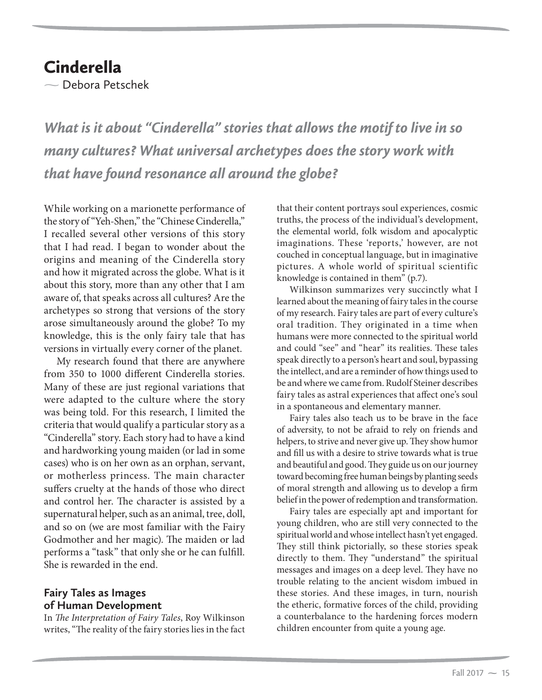## **Cinderella**

- Debora Petschek

*What is it about "Cinderella" stories that allows the motif to live in so many cultures? What universal archetypes does the story work with that have found resonance all around the globe?*

While working on a marionette performance of the story of "Yeh-Shen," the "Chinese Cinderella," I recalled several other versions of this story that I had read. I began to wonder about the origins and meaning of the Cinderella story and how it migrated across the globe. What is it about this story, more than any other that I am aware of, that speaks across all cultures? Are the archetypes so strong that versions of the story arose simultaneously around the globe? To my knowledge, this is the only fairy tale that has versions in virtually every corner of the planet.

My research found that there are anywhere from 350 to 1000 different Cinderella stories. Many of these are just regional variations that were adapted to the culture where the story was being told. For this research, I limited the criteria that would qualify a particular story as a "Cinderella" story. Each story had to have a kind and hardworking young maiden (or lad in some cases) who is on her own as an orphan, servant, or motherless princess. The main character suffers cruelty at the hands of those who direct and control her. The character is assisted by a supernatural helper, such as an animal, tree, doll, and so on (we are most familiar with the Fairy Godmother and her magic). The maiden or lad performs a "task" that only she or he can fulfill. She is rewarded in the end.

## **Fairy Tales as Images of Human Development**

In *The Interpretation of Fairy Tales*, Roy Wilkinson writes, "The reality of the fairy stories lies in the fact that their content portrays soul experiences, cosmic truths, the process of the individual's development, the elemental world, folk wisdom and apocalyptic imaginations. These 'reports,' however, are not couched in conceptual language, but in imaginative pictures. A whole world of spiritual scientific knowledge is contained in them" (p.7).

Wilkinson summarizes very succinctly what I learned about the meaning of fairy tales in the course of my research. Fairy tales are part of every culture's oral tradition. They originated in a time when humans were more connected to the spiritual world and could "see" and "hear" its realities. These tales speak directly to a person's heart and soul, bypassing the intellect, and are a reminder of how things used to be and where we came from. Rudolf Steiner describes fairy tales as astral experiences that affect one's soul in a spontaneous and elementary manner.

Fairy tales also teach us to be brave in the face of adversity, to not be afraid to rely on friends and helpers, to strive and never give up. They show humor and fill us with a desire to strive towards what is true and beautiful and good. They guide us on our journey toward becoming free human beings by planting seeds of moral strength and allowing us to develop a firm belief in the power of redemption and transformation.

Fairy tales are especially apt and important for young children, who are still very connected to the spiritual world and whose intellect hasn't yet engaged. They still think pictorially, so these stories speak directly to them. They "understand" the spiritual messages and images on a deep level. They have no trouble relating to the ancient wisdom imbued in these stories. And these images, in turn, nourish the etheric, formative forces of the child, providing a counterbalance to the hardening forces modern children encounter from quite a young age.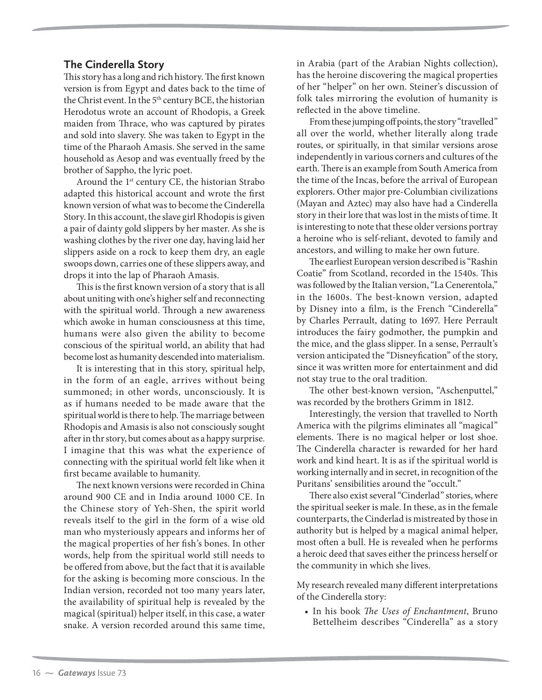## **The Cinderella Story**

This story has a long and rich history. The first known version is from Egypt and dates back to the time of the Christ event. In the 5<sup>th</sup> century BCE, the historian Herodotus wrote an account of Rhodopis, a Greek maiden from Thrace, who was captured by pirates and sold into slavery. She was taken to Egypt in the time of the Pharaoh Amasis. She served in the same household as Aesop and was eventually freed by the brother of Sappho, the lyric poet.

Around the 1<sup>st</sup> century CE, the historian Strabo adapted this historical account and wrote the first known version of what was to become the Cinderella Story. In this account, the slave girl Rhodopis is given a pair of dainty gold slippers by her master. As she is washing clothes by the river one day, having laid her slippers aside on a rock to keep them dry, an eagle swoops down, carries one of these slippers away, and drops it into the lap of Pharaoh Amasis.

This is the first known version of a story that is all about uniting with one's higher self and reconnecting with the spiritual world. Through a new awareness which awoke in human consciousness at this time, humans were also given the ability to become conscious of the spiritual world, an ability that had become lost as humanity descended into materialism.

It is interesting that in this story, spiritual help, in the form of an eagle, arrives without being summoned; in other words, unconsciously. It is as if humans needed to be made aware that the spiritual world is there to help. The marriage between Rhodopis and Amasis is also not consciously sought after in thr story, but comes about as a happy surprise. I imagine that this was what the experience of connecting with the spiritual world felt like when it first became available to humanity.

The next known versions were recorded in China around 900 CE and in India around 1000 CE. In the Chinese story of Yeh-Shen, the spirit world reveals itself to the girl in the form of a wise old man who mysteriously appears and informs her of the magical properties of her fish's bones. In other words, help from the spiritual world still needs to be offered from above, but the fact that it is available for the asking is becoming more conscious. In the Indian version, recorded not too many years later, the availability of spiritual help is revealed by the magical (spiritual) helper itself, in this case, a water snake. A version recorded around this same time,

in Arabia (part of the Arabian Nights collection), has the heroine discovering the magical properties of her "helper" on her own. Steiner's discussion of folk tales mirroring the evolution of humanity is reflected in the above timeline.

From these jumping off points, the story "travelled" all over the world, whether literally along trade routes, or spiritually, in that similar versions arose independently in various corners and cultures of the earth. There is an example from South America from the time of the Incas, before the arrival of European explorers. Other major pre-Columbian civilizations (Mayan and Aztec) may also have had a Cinderella story in their lore that was lost in the mists of time. It is interesting to note that these older versions portray a heroine who is self-reliant, devoted to family and ancestors, and willing to make her own future.

The earliest European version described is "Rashin Coatie" from Scotland, recorded in the 1540s. This was followed by the Italian version, "La Cenerentola," in the 1600s. The best-known version, adapted by Disney into a film, is the French "Cinderella" by Charles Perrault, dating to 1697. Here Perrault introduces the fairy godmother, the pumpkin and the mice, and the glass slipper. In a sense, Perrault's version anticipated the "Disneyfication" of the story, since it was written more for entertainment and did not stay true to the oral tradition.

The other best-known version, "Aschenputtel," was recorded by the brothers Grimm in 1812.

Interestingly, the version that travelled to North America with the pilgrims eliminates all "magical" elements. There is no magical helper or lost shoe. The Cinderella character is rewarded for her hard work and kind heart. It is as if the spiritual world is working internally and in secret, in recognition of the Puritans' sensibilities around the "occult."

There also exist several "Cinderlad" stories, where the spiritual seeker is male. In these, as in the female counterparts, the Cinderlad is mistreated by those in authority but is helped by a magical animal helper, most often a bull. He is revealed when he performs a heroic deed that saves either the princess herself or the community in which she lives.

My research revealed many different interpretations of the Cinderella story:

• In his book *The Uses of Enchantment*, Bruno Bettelheim describes "Cinderella" as a story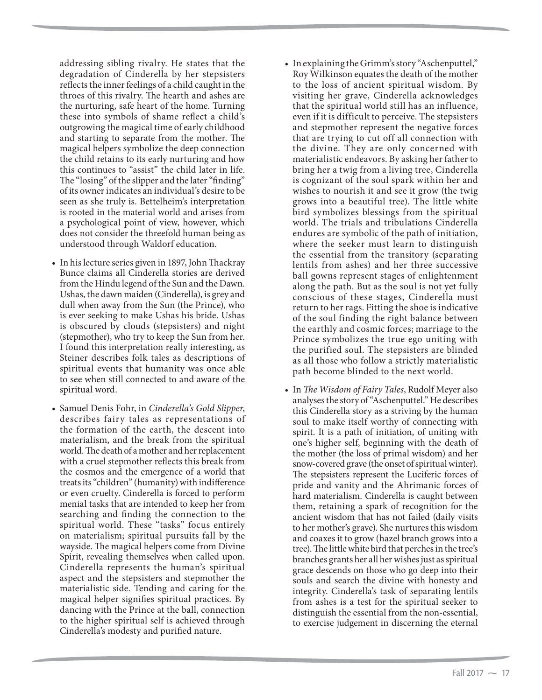addressing sibling rivalry. He states that the degradation of Cinderella by her stepsisters reflects the inner feelings of a child caught in the throes of this rivalry. The hearth and ashes are the nurturing, safe heart of the home. Turning these into symbols of shame reflect a child's outgrowing the magical time of early childhood and starting to separate from the mother. The magical helpers symbolize the deep connection the child retains to its early nurturing and how this continues to "assist" the child later in life. The "losing" of the slipper and the later "finding" of its owner indicates an individual's desire to be seen as she truly is. Bettelheim's interpretation is rooted in the material world and arises from a psychological point of view, however, which does not consider the threefold human being as understood through Waldorf education.

- In his lecture series given in 1897, John Thackray Bunce claims all Cinderella stories are derived from the Hindu legend of the Sun and the Dawn. Ushas, the dawn maiden (Cinderella), is grey and dull when away from the Sun (the Prince), who is ever seeking to make Ushas his bride. Ushas is obscured by clouds (stepsisters) and night (stepmother), who try to keep the Sun from her. I found this interpretation really interesting, as Steiner describes folk tales as descriptions of spiritual events that humanity was once able to see when still connected to and aware of the spiritual word.
- Samuel Denis Fohr, in *Cinderella's Gold Slipper*, describes fairy tales as representations of the formation of the earth, the descent into materialism, and the break from the spiritual world. The death of a mother and her replacement with a cruel stepmother reflects this break from the cosmos and the emergence of a world that treats its "children" (humanity) with indifference or even cruelty. Cinderella is forced to perform menial tasks that are intended to keep her from searching and finding the connection to the spiritual world. These "tasks" focus entirely on materialism; spiritual pursuits fall by the wayside. The magical helpers come from Divine Spirit, revealing themselves when called upon. Cinderella represents the human's spiritual aspect and the stepsisters and stepmother the materialistic side. Tending and caring for the magical helper signifies spiritual practices. By dancing with the Prince at the ball, connection to the higher spiritual self is achieved through Cinderella's modesty and purified nature.
- In explaining the Grimm's story "Aschenputtel," Roy Wilkinson equates the death of the mother to the loss of ancient spiritual wisdom. By visiting her grave, Cinderella acknowledges that the spiritual world still has an influence, even if it is difficult to perceive. The stepsisters and stepmother represent the negative forces that are trying to cut off all connection with the divine. They are only concerned with materialistic endeavors. By asking her father to bring her a twig from a living tree, Cinderella is cognizant of the soul spark within her and wishes to nourish it and see it grow (the twig grows into a beautiful tree). The little white bird symbolizes blessings from the spiritual world. The trials and tribulations Cinderella endures are symbolic of the path of initiation, where the seeker must learn to distinguish the essential from the transitory (separating lentils from ashes) and her three successive ball gowns represent stages of enlightenment along the path. But as the soul is not yet fully conscious of these stages, Cinderella must return to her rags. Fitting the shoe is indicative of the soul finding the right balance between the earthly and cosmic forces; marriage to the Prince symbolizes the true ego uniting with the purified soul. The stepsisters are blinded as all those who follow a strictly materialistic path become blinded to the next world.
- In *The Wisdom of Fairy Tales*, Rudolf Meyer also analyses the story of "Aschenputtel." He describes this Cinderella story as a striving by the human soul to make itself worthy of connecting with spirit. It is a path of initiation, of uniting with one's higher self, beginning with the death of the mother (the loss of primal wisdom) and her snow-covered grave (the onset of spiritual winter). The stepsisters represent the Luciferic forces of pride and vanity and the Ahrimanic forces of hard materialism. Cinderella is caught between them, retaining a spark of recognition for the ancient wisdom that has not failed (daily visits to her mother's grave). She nurtures this wisdom and coaxes it to grow (hazel branch grows into a tree). The little white bird that perches in the tree's branches grants her all her wishes just as spiritual grace descends on those who go deep into their souls and search the divine with honesty and integrity. Cinderella's task of separating lentils from ashes is a test for the spiritual seeker to distinguish the essential from the non-essential, to exercise judgement in discerning the eternal